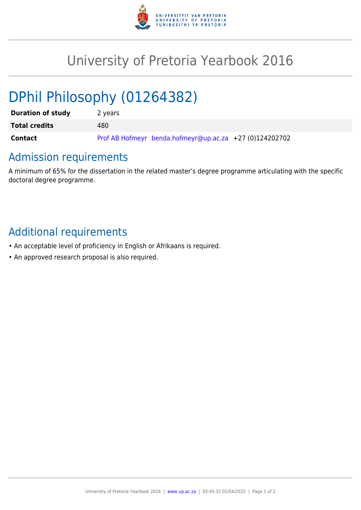

## University of Pretoria Yearbook 2016

# DPhil Philosophy (01264382)

| <b>Duration of study</b> | 2 years                                                   |
|--------------------------|-----------------------------------------------------------|
| <b>Total credits</b>     | 480                                                       |
| <b>Contact</b>           | Prof AB Hofmeyr benda.hofmeyr@up.ac.za $+27$ (0)124202702 |

## Admission requirements

A minimum of 65% for the dissertation in the related master's degree programme articulating with the specific doctoral degree programme.

## Additional requirements

- An acceptable level of proficiency in English or Afrikaans is required.
- An approved research proposal is also required.